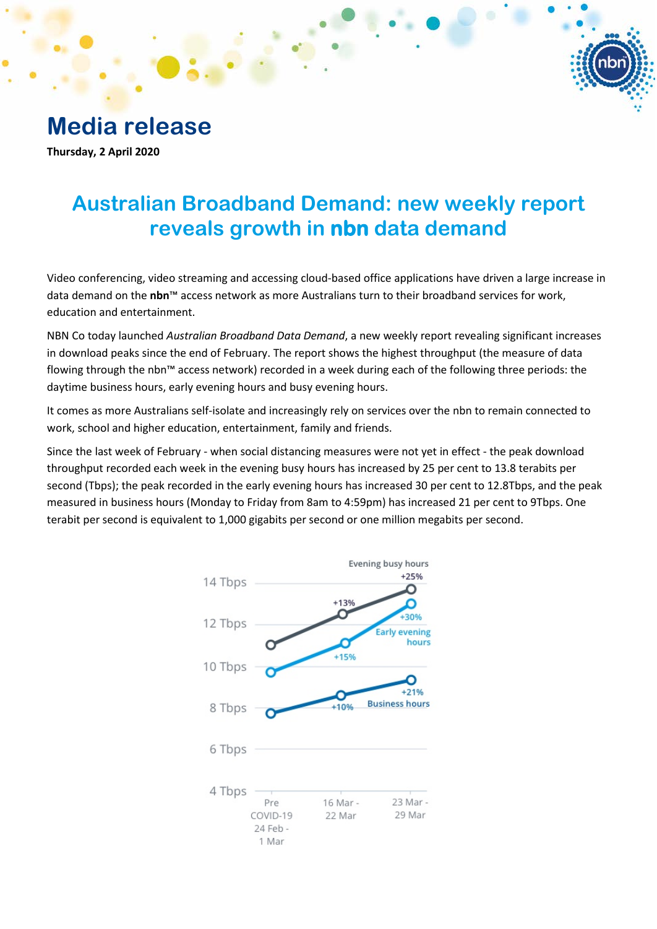# **Media release**

**Thursday, 2 April 2020**

# **Australian Broadband Demand: new weekly report reveals growth in nbn data demand**

Video conferencing, video streaming and accessing cloud-based office applications have driven a large increase in data demand on the **nbn**™ access network as more Australians turn to their broadband services for work, education and entertainment.

NBN Co today launched *Australian Broadband Data Demand*, a new weekly report revealing significant increases in download peaks since the end of February. The report shows the highest throughput (the measure of data flowing through the nbn™ access network) recorded in a week during each of the following three periods: the daytime business hours, early evening hours and busy evening hours.

It comes as more Australians self-isolate and increasingly rely on services over the nbn to remain connected to work, school and higher education, entertainment, family and friends.

Since the last week of February - when social distancing measures were not yet in effect - the peak download throughput recorded each week in the evening busy hours has increased by 25 per cent to 13.8 terabits per second (Tbps); the peak recorded in the early evening hours has increased 30 per cent to 12.8Tbps, and the peak measured in business hours (Monday to Friday from 8am to 4:59pm) has increased 21 per cent to 9Tbps. One terabit per second is equivalent to 1,000 gigabits per second or one million megabits per second.

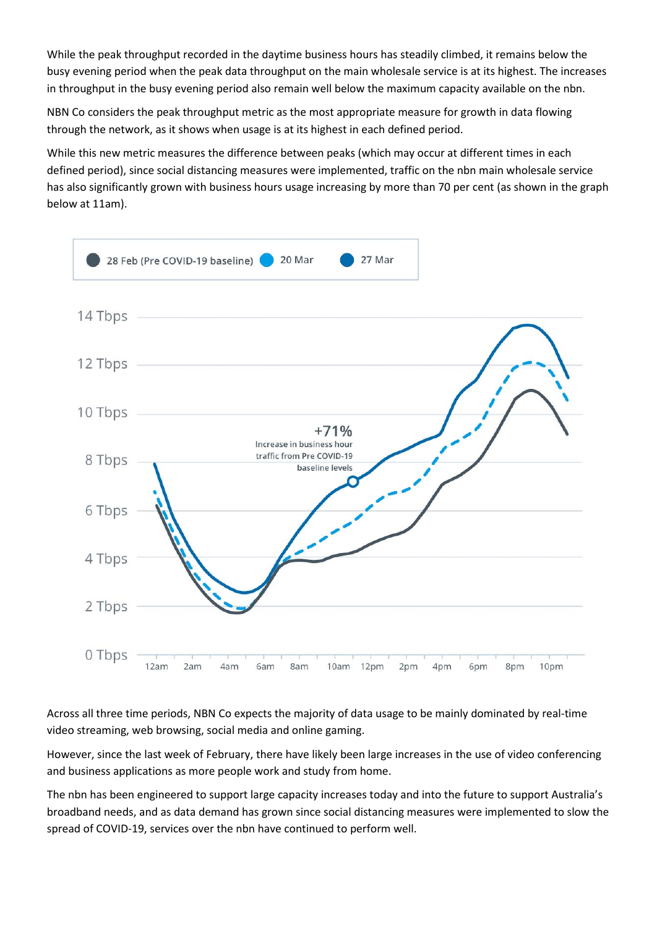While the peak throughput recorded in the daytime business hours has steadily climbed, it remains below the busy evening period when the peak data throughput on the main wholesale service is at its highest. The increases in throughput in the busy evening period also remain well below the maximum capacity available on the nbn.

NBN Co considers the peak throughput metric as the most appropriate measure for growth in data flowing through the network, as it shows when usage is at its highest in each defined period.

While this new metric measures the difference between peaks (which may occur at different times in each defined period), since social distancing measures were implemented, traffic on the nbn main wholesale service has also significantly grown with business hours usage increasing by more than 70 per cent (as shown in the graph below at 11am).



Across all three time periods, NBN Co expects the majority of data usage to be mainly dominated by real-time video streaming, web browsing, social media and online gaming.

However, since the last week of February, there have likely been large increases in the use of video conferencing and business applications as more people work and study from home.

The nbn has been engineered to support large capacity increases today and into the future to support Australia's broadband needs, and as data demand has grown since social distancing measures were implemented to slow the spread of COVID-19, services over the nbn have continued to perform well.